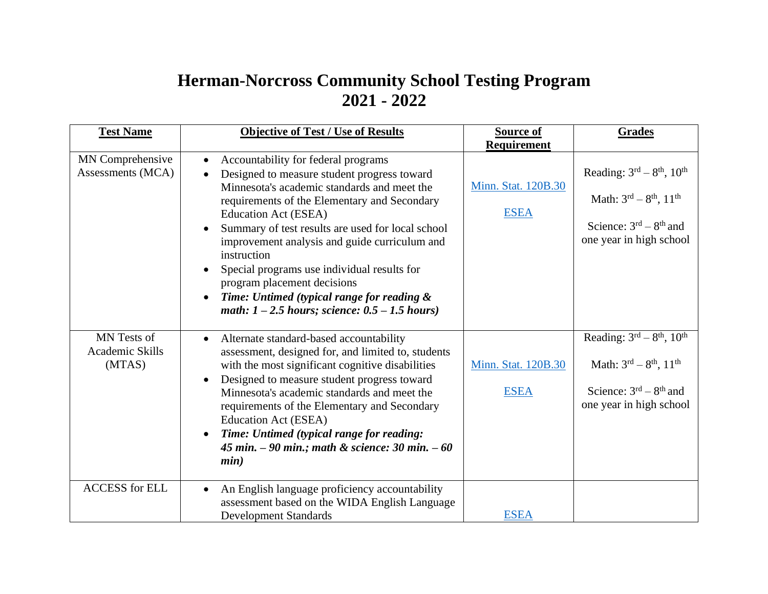## **Herman-Norcross Community School Testing Program 2021 - 2022**

| <b>Test Name</b>                         | <b>Objective of Test / Use of Results</b>                                                                                                                                                                                                                                                                                                                                                                                                                                                                                                  | <b>Source of</b><br><b>Requirement</b> | Grades                                                                                                                      |
|------------------------------------------|--------------------------------------------------------------------------------------------------------------------------------------------------------------------------------------------------------------------------------------------------------------------------------------------------------------------------------------------------------------------------------------------------------------------------------------------------------------------------------------------------------------------------------------------|----------------------------------------|-----------------------------------------------------------------------------------------------------------------------------|
| MN Comprehensive<br>Assessments (MCA)    | Accountability for federal programs<br>$\bullet$<br>Designed to measure student progress toward<br>$\bullet$<br>Minnesota's academic standards and meet the<br>requirements of the Elementary and Secondary<br>Education Act (ESEA)<br>Summary of test results are used for local school<br>improvement analysis and guide curriculum and<br>instruction<br>Special programs use individual results for<br>program placement decisions<br>Time: Untimed (typical range for reading &<br>math: $1 - 2.5$ hours; science: $0.5 - 1.5$ hours) | Minn. Stat. 120B.30<br><b>ESEA</b>     | Reading: $3rd - 8th$ , $10th$<br>Math: $3^{rd} - 8^{th}$ , $11^{th}$<br>Science: $3rd - 8th$ and<br>one year in high school |
| MN Tests of<br>Academic Skills<br>(MTAS) | Alternate standard-based accountability<br>$\bullet$<br>assessment, designed for, and limited to, students<br>with the most significant cognitive disabilities<br>Designed to measure student progress toward<br>$\bullet$<br>Minnesota's academic standards and meet the<br>requirements of the Elementary and Secondary<br>Education Act (ESEA)<br>Time: Untimed (typical range for reading:<br>45 min. $-90$ min.; math & science: 30 min. $-60$<br>min)                                                                                | Minn. Stat. 120B.30<br><b>ESEA</b>     | Reading: $3rd - 8th$ , $10th$<br>Math: $3^{rd} - 8^{th}$ , $11^{th}$<br>Science: $3rd - 8th$ and<br>one year in high school |
| <b>ACCESS</b> for ELL                    | An English language proficiency accountability<br>$\bullet$<br>assessment based on the WIDA English Language<br><b>Development Standards</b>                                                                                                                                                                                                                                                                                                                                                                                               | <b>ESEA</b>                            |                                                                                                                             |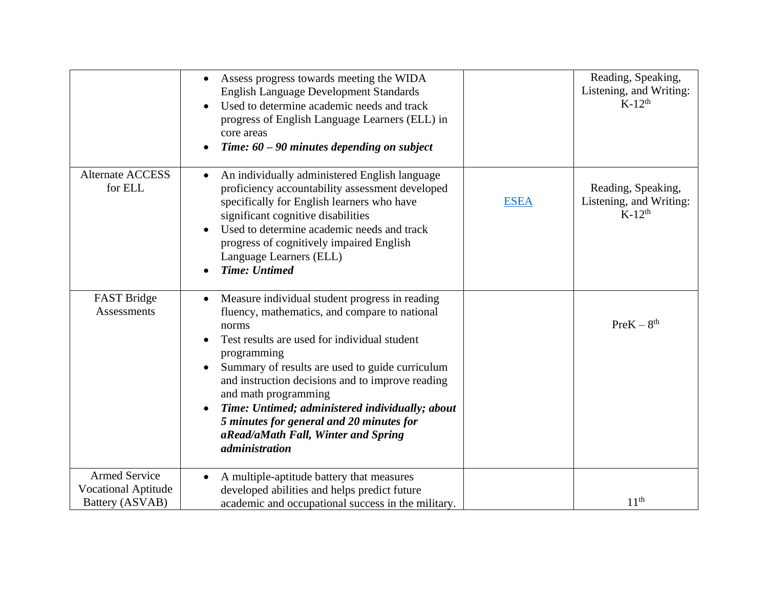|                                                    | Assess progress towards meeting the WIDA<br>$\bullet$<br><b>English Language Development Standards</b><br>Used to determine academic needs and track<br>progress of English Language Learners (ELL) in<br>core areas<br>Time: $60 - 90$ minutes depending on subject                                                                                                                                                                                                               |             | Reading, Speaking,<br>Listening, and Writing:<br>$K-12^{th}$ |
|----------------------------------------------------|------------------------------------------------------------------------------------------------------------------------------------------------------------------------------------------------------------------------------------------------------------------------------------------------------------------------------------------------------------------------------------------------------------------------------------------------------------------------------------|-------------|--------------------------------------------------------------|
| <b>Alternate ACCESS</b><br>for ELL                 | An individually administered English language<br>$\bullet$<br>proficiency accountability assessment developed<br>specifically for English learners who have<br>significant cognitive disabilities<br>Used to determine academic needs and track<br>progress of cognitively impaired English<br>Language Learners (ELL)<br><b>Time: Untimed</b>                                                                                                                                     | <b>ESEA</b> | Reading, Speaking,<br>Listening, and Writing:<br>$K-12^{th}$ |
| FAST Bridge<br><b>Assessments</b>                  | Measure individual student progress in reading<br>fluency, mathematics, and compare to national<br>norms<br>Test results are used for individual student<br>programming<br>Summary of results are used to guide curriculum<br>and instruction decisions and to improve reading<br>and math programming<br>Time: Untimed; administered individually; about<br>$\bullet$<br>5 minutes for general and 20 minutes for<br>aRead/aMath Fall, Winter and Spring<br><i>administration</i> |             | $PreK - 8th$                                                 |
| <b>Armed Service</b><br><b>Vocational Aptitude</b> | A multiple-aptitude battery that measures<br>developed abilities and helps predict future                                                                                                                                                                                                                                                                                                                                                                                          |             |                                                              |
| Battery (ASVAB)                                    | academic and occupational success in the military.                                                                                                                                                                                                                                                                                                                                                                                                                                 |             | 11 <sup>th</sup>                                             |